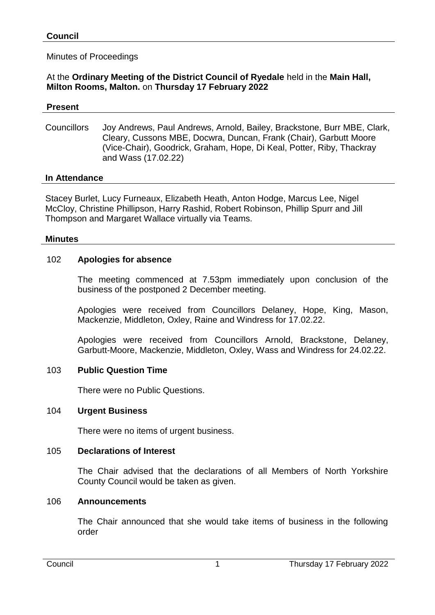## Minutes of Proceedings

#### At the **Ordinary Meeting of the District Council of Ryedale** held in the **Main Hall, Milton Rooms, Malton.** on **Thursday 17 February 2022**

#### **Present**

Councillors Joy Andrews, Paul Andrews, Arnold, Bailey, Brackstone, Burr MBE, Clark, Cleary, Cussons MBE, Docwra, Duncan, Frank (Chair), Garbutt Moore (Vice-Chair), Goodrick, Graham, Hope, Di Keal, Potter, Riby, Thackray and Wass (17.02.22)

#### **In Attendance**

Stacey Burlet, Lucy Furneaux, Elizabeth Heath, Anton Hodge, Marcus Lee, Nigel McCloy, Christine Phillipson, Harry Rashid, Robert Robinson, Phillip Spurr and Jill Thompson and Margaret Wallace virtually via Teams.

#### **Minutes**

#### 102 **Apologies for absence**

The meeting commenced at 7.53pm immediately upon conclusion of the business of the postponed 2 December meeting.

Apologies were received from Councillors Delaney, Hope, King, Mason, Mackenzie, Middleton, Oxley, Raine and Windress for 17.02.22.

Apologies were received from Councillors Arnold, Brackstone, Delaney, Garbutt-Moore, Mackenzie, Middleton, Oxley, Wass and Windress for 24.02.22.

#### 103 **Public Question Time**

There were no Public Questions.

#### 104 **Urgent Business**

There were no items of urgent business.

#### 105 **Declarations of Interest**

The Chair advised that the declarations of all Members of North Yorkshire County Council would be taken as given.

#### 106 **Announcements**

The Chair announced that she would take items of business in the following order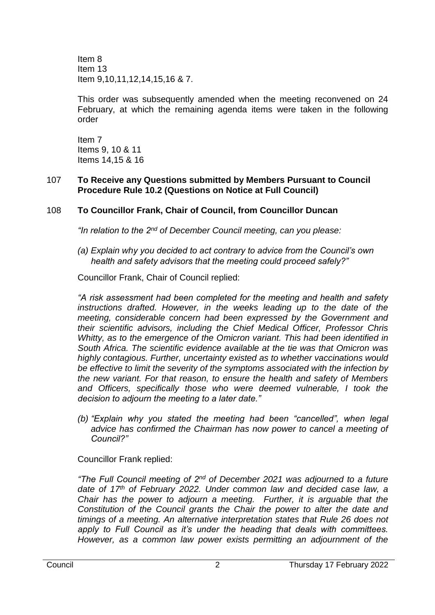Item 8 Item 13 Item 9,10,11,12,14,15,16 & 7.

This order was subsequently amended when the meeting reconvened on 24 February, at which the remaining agenda items were taken in the following order

Item 7 Items 9, 10 & 11 Items 14,15 & 16

#### 107 **To Receive any Questions submitted by Members Pursuant to Council Procedure Rule 10.2 (Questions on Notice at Full Council)**

# 108 **To Councillor Frank, Chair of Council, from Councillor Duncan**

*"In relation to the 2nd of December Council meeting, can you please:*

*(a) Explain why you decided to act contrary to advice from the Council's own health and safety advisors that the meeting could proceed safely?"*

Councillor Frank, Chair of Council replied:

*"A risk assessment had been completed for the meeting and health and safety instructions drafted. However, in the weeks leading up to the date of the meeting, considerable concern had been expressed by the Government and their scientific advisors, including the Chief Medical Officer, Professor Chris Whitty, as to the emergence of the Omicron variant. This had been identified in South Africa. The scientific evidence available at the tie was that Omicron was highly contagious. Further, uncertainty existed as to whether vaccinations would be effective to limit the severity of the symptoms associated with the infection by the new variant. For that reason, to ensure the health and safety of Members and Officers, specifically those who were deemed vulnerable, I took the decision to adjourn the meeting to a later date."*

*(b) "Explain why you stated the meeting had been "cancelled", when legal advice has confirmed the Chairman has now power to cancel a meeting of Council?"*

Councillor Frank replied:

*"The Full Council meeting of 2nd of December 2021 was adjourned to a future date of 17th of February 2022. Under common law and decided case law, a Chair has the power to adjourn a meeting. Further, it is arguable that the Constitution of the Council grants the Chair the power to alter the date and timings of a meeting. An alternative interpretation states that Rule 26 does not apply to Full Council as it's under the heading that deals with committees. However, as a common law power exists permitting an adjournment of the*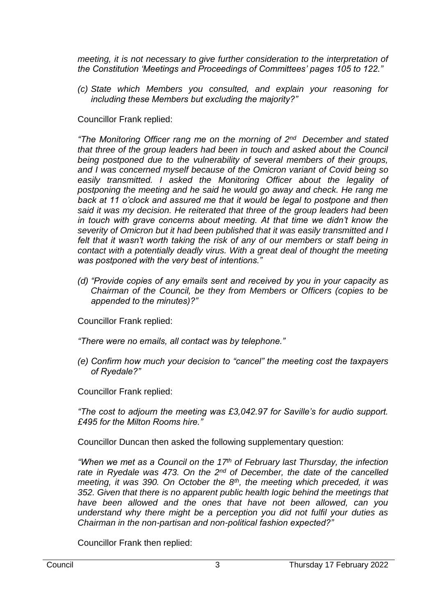*meeting, it is not necessary to give further consideration to the interpretation of the Constitution 'Meetings and Proceedings of Committees' pages 105 to 122."*

*(c) State which Members you consulted, and explain your reasoning for including these Members but excluding the majority?"*

Councillor Frank replied:

*"The Monitoring Officer rang me on the morning of 2nd December and stated that three of the group leaders had been in touch and asked about the Council being postponed due to the vulnerability of several members of their groups, and I was concerned myself because of the Omicron variant of Covid being so easily transmitted. I asked the Monitoring Officer about the legality of postponing the meeting and he said he would go away and check. He rang me back at 11 o'clock and assured me that it would be legal to postpone and then said it was my decision. He reiterated that three of the group leaders had been in touch with grave concerns about meeting. At that time we didn't know the severity of Omicron but it had been published that it was easily transmitted and I*  felt that it wasn't worth taking the risk of any of our members or staff being in *contact with a potentially deadly virus. With a great deal of thought the meeting was postponed with the very best of intentions."* 

*(d) "Provide copies of any emails sent and received by you in your capacity as Chairman of the Council, be they from Members or Officers (copies to be appended to the minutes)?"* 

Councillor Frank replied:

*"There were no emails, all contact was by telephone."*

*(e) Confirm how much your decision to "cancel" the meeting cost the taxpayers of Ryedale?"*

Councillor Frank replied:

*"The cost to adjourn the meeting was £3,042.97 for Saville's for audio support. £495 for the Milton Rooms hire."*

Councillor Duncan then asked the following supplementary question:

*"When we met as a Council on the 17th of February last Thursday, the infection rate in Ryedale was 473. On the 2nd of December, the date of the cancelled meeting, it was 390. On October the 8th, the meeting which preceded, it was 352. Given that there is no apparent public health logic behind the meetings that have been allowed and the ones that have not been allowed, can you understand why there might be a perception you did not fulfil your duties as Chairman in the non-partisan and non-political fashion expected?"*

Councillor Frank then replied: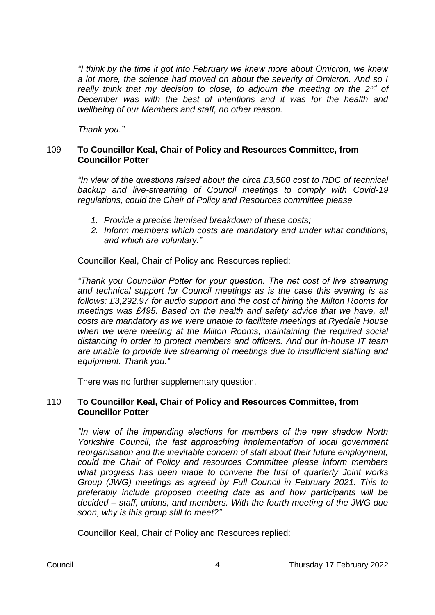*"I think by the time it got into February we knew more about Omicron, we knew a lot more, the science had moved on about the severity of Omicron. And so I really think that my decision to close, to adjourn the meeting on the 2nd of December was with the best of intentions and it was for the health and wellbeing of our Members and staff, no other reason.*

*Thank you."*

## 109 **To Councillor Keal, Chair of Policy and Resources Committee, from Councillor Potter**

*"In view of the questions raised about the circa £3,500 cost to RDC of technical backup and live-streaming of Council meetings to comply with Covid-19 regulations, could the Chair of Policy and Resources committee please*

- *1. Provide a precise itemised breakdown of these costs;*
- *2. Inform members which costs are mandatory and under what conditions, and which are voluntary."*

Councillor Keal, Chair of Policy and Resources replied:

*"Thank you Councillor Potter for your question. The net cost of live streaming and technical support for Council meetings as is the case this evening is as follows: £3,292.97 for audio support and the cost of hiring the Milton Rooms for meetings was £495. Based on the health and safety advice that we have, all costs are mandatory as we were unable to facilitate meetings at Ryedale House when we were meeting at the Milton Rooms, maintaining the required social distancing in order to protect members and officers. And our in-house IT team are unable to provide live streaming of meetings due to insufficient staffing and equipment. Thank you."*

There was no further supplementary question.

# 110 **To Councillor Keal, Chair of Policy and Resources Committee, from Councillor Potter**

*"In view of the impending elections for members of the new shadow North Yorkshire Council, the fast approaching implementation of local government reorganisation and the inevitable concern of staff about their future employment, could the Chair of Policy and resources Committee please inform members what progress has been made to convene the first of quarterly Joint works Group (JWG) meetings as agreed by Full Council in February 2021. This to preferably include proposed meeting date as and how participants will be decided – staff, unions, and members. With the fourth meeting of the JWG due soon, why is this group still to meet?"*

Councillor Keal, Chair of Policy and Resources replied: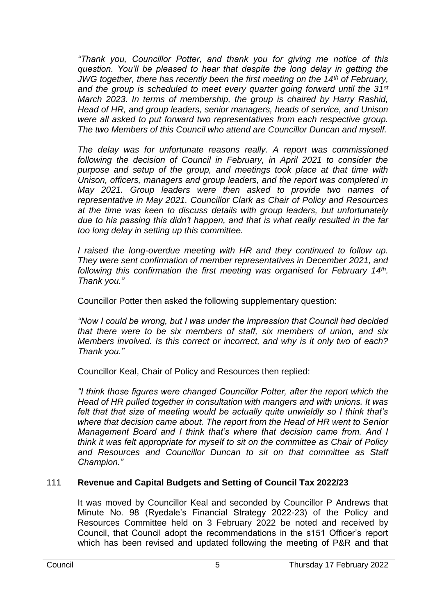*"Thank you, Councillor Potter, and thank you for giving me notice of this question. You'll be pleased to hear that despite the long delay in getting the JWG together, there has recently been the first meeting on the 14th of February, and the group is scheduled to meet every quarter going forward until the 31st March 2023. In terms of membership, the group is chaired by Harry Rashid, Head of HR, and group leaders, senior managers, heads of service, and Unison were all asked to put forward two representatives from each respective group. The two Members of this Council who attend are Councillor Duncan and myself.* 

*The delay was for unfortunate reasons really. A report was commissioned following the decision of Council in February, in April 2021 to consider the purpose and setup of the group, and meetings took place at that time with Unison, officers, managers and group leaders, and the report was completed in May 2021. Group leaders were then asked to provide two names of representative in May 2021. Councillor Clark as Chair of Policy and Resources at the time was keen to discuss details with group leaders, but unfortunately due to his passing this didn't happen, and that is what really resulted in the far too long delay in setting up this committee.* 

*I raised the long-overdue meeting with HR and they continued to follow up. They were sent confirmation of member representatives in December 2021, and following this confirmation the first meeting was organised for February 14th . Thank you."* 

Councillor Potter then asked the following supplementary question:

*"Now I could be wrong, but I was under the impression that Council had decided that there were to be six members of staff, six members of union, and six Members involved. Is this correct or incorrect, and why is it only two of each? Thank you."*

Councillor Keal, Chair of Policy and Resources then replied:

*"I think those figures were changed Councillor Potter, after the report which the Head of HR pulled together in consultation with mangers and with unions. It was felt that that size of meeting would be actually quite unwieldly so I think that's where that decision came about. The report from the Head of HR went to Senior Management Board and I think that's where that decision came from. And I think it was felt appropriate for myself to sit on the committee as Chair of Policy and Resources and Councillor Duncan to sit on that committee as Staff Champion."*

# 111 **Revenue and Capital Budgets and Setting of Council Tax 2022/23**

It was moved by Councillor Keal and seconded by Councillor P Andrews that Minute No. 98 (Ryedale's Financial Strategy 2022-23) of the Policy and Resources Committee held on 3 February 2022 be noted and received by Council, that Council adopt the recommendations in the s151 Officer's report which has been revised and updated following the meeting of P&R and that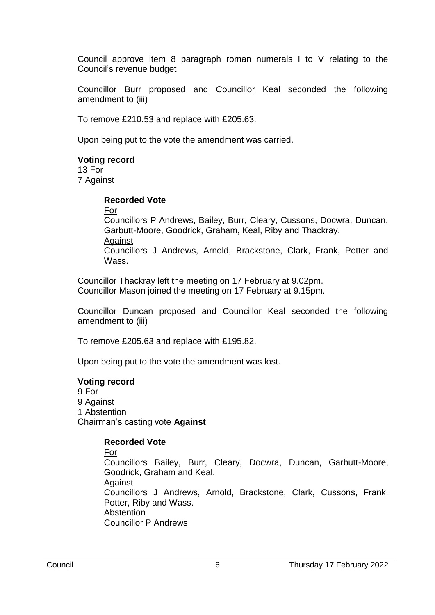Council approve item 8 paragraph roman numerals I to V relating to the Council's revenue budget

Councillor Burr proposed and Councillor Keal seconded the following amendment to (iii)

To remove £210.53 and replace with £205.63.

Upon being put to the vote the amendment was carried.

#### **Voting record**

13 For 7 Against

#### **Recorded Vote**

For

Councillors P Andrews, Bailey, Burr, Cleary, Cussons, Docwra, Duncan, Garbutt-Moore, Goodrick, Graham, Keal, Riby and Thackray. Against Councillors J Andrews, Arnold, Brackstone, Clark, Frank, Potter and Wass.

Councillor Thackray left the meeting on 17 February at 9.02pm. Councillor Mason joined the meeting on 17 February at 9.15pm.

Councillor Duncan proposed and Councillor Keal seconded the following amendment to (iii)

To remove £205.63 and replace with £195.82.

Upon being put to the vote the amendment was lost.

# **Voting record**

9 For 9 Against 1 Abstention Chairman's casting vote **Against**

# **Recorded Vote**

For Councillors Bailey, Burr, Cleary, Docwra, Duncan, Garbutt-Moore, Goodrick, Graham and Keal. Against Councillors J Andrews, Arnold, Brackstone, Clark, Cussons, Frank, Potter, Riby and Wass. **Abstention** Councillor P Andrews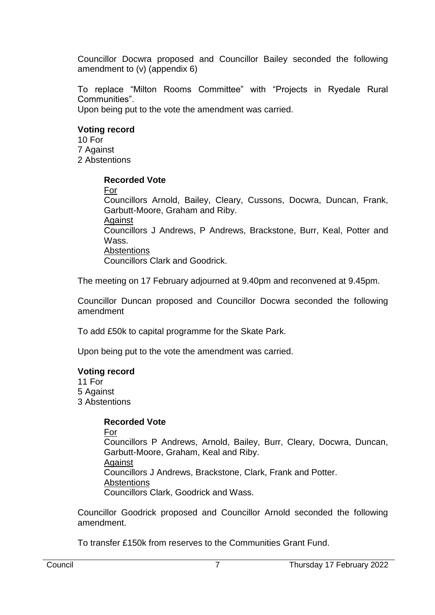Councillor Docwra proposed and Councillor Bailey seconded the following amendment to (v) (appendix 6)

To replace "Milton Rooms Committee" with "Projects in Ryedale Rural Communities". Upon being put to the vote the amendment was carried.

#### **Voting record**

10 For 7 Against 2 Abstentions

#### **Recorded Vote**

For

Councillors Arnold, Bailey, Cleary, Cussons, Docwra, Duncan, Frank, Garbutt-Moore, Graham and Riby.

**Against** 

Councillors J Andrews, P Andrews, Brackstone, Burr, Keal, Potter and Wass.

#### Abstentions

Councillors Clark and Goodrick.

The meeting on 17 February adjourned at 9.40pm and reconvened at 9.45pm.

Councillor Duncan proposed and Councillor Docwra seconded the following amendment

To add £50k to capital programme for the Skate Park.

Upon being put to the vote the amendment was carried.

# **Voting record**

11 For

5 Against 3 Abstentions

# **Recorded Vote**

For

Councillors P Andrews, Arnold, Bailey, Burr, Cleary, Docwra, Duncan, Garbutt-Moore, Graham, Keal and Riby. Against Councillors J Andrews, Brackstone, Clark, Frank and Potter. **Abstentions** Councillors Clark, Goodrick and Wass.

Councillor Goodrick proposed and Councillor Arnold seconded the following amendment.

To transfer £150k from reserves to the Communities Grant Fund.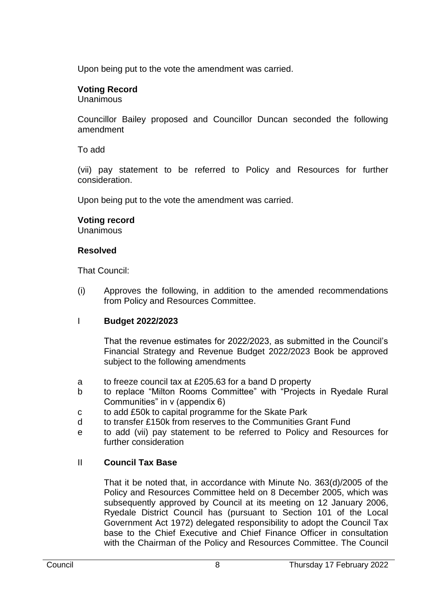Upon being put to the vote the amendment was carried.

# **Voting Record**

Unanimous

Councillor Bailey proposed and Councillor Duncan seconded the following amendment

To add

(vii) pay statement to be referred to Policy and Resources for further consideration.

Upon being put to the vote the amendment was carried.

# **Voting record**

**Unanimous** 

# **Resolved**

That Council:

(i) Approves the following, in addition to the amended recommendations from Policy and Resources Committee.

# I **Budget 2022/2023**

That the revenue estimates for 2022/2023, as submitted in the Council's Financial Strategy and Revenue Budget 2022/2023 Book be approved subject to the following amendments

- a to freeze council tax at £205.63 for a band D property
- b to replace "Milton Rooms Committee" with "Projects in Ryedale Rural Communities" in v (appendix 6)
- c to add £50k to capital programme for the Skate Park
- d to transfer £150k from reserves to the Communities Grant Fund
- e to add (vii) pay statement to be referred to Policy and Resources for further consideration

# II **Council Tax Base**

That it be noted that, in accordance with Minute No. 363(d)/2005 of the Policy and Resources Committee held on 8 December 2005, which was subsequently approved by Council at its meeting on 12 January 2006, Ryedale District Council has (pursuant to Section 101 of the Local Government Act 1972) delegated responsibility to adopt the Council Tax base to the Chief Executive and Chief Finance Officer in consultation with the Chairman of the Policy and Resources Committee. The Council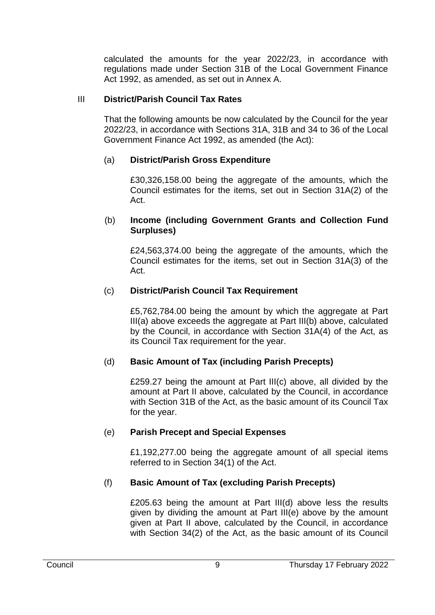calculated the amounts for the year 2022/23, in accordance with regulations made under Section 31B of the Local Government Finance Act 1992, as amended, as set out in Annex A.

# III **District/Parish Council Tax Rates**

That the following amounts be now calculated by the Council for the year 2022/23, in accordance with Sections 31A, 31B and 34 to 36 of the Local Government Finance Act 1992, as amended (the Act):

# (a) **District/Parish Gross Expenditure**

£30,326,158.00 being the aggregate of the amounts, which the Council estimates for the items, set out in Section 31A(2) of the Act.

#### (b) **Income (including Government Grants and Collection Fund Surpluses)**

£24,563,374.00 being the aggregate of the amounts, which the Council estimates for the items, set out in Section 31A(3) of the Act.

# (c) **District/Parish Council Tax Requirement**

£5,762,784.00 being the amount by which the aggregate at Part III(a) above exceeds the aggregate at Part III(b) above, calculated by the Council, in accordance with Section 31A(4) of the Act, as its Council Tax requirement for the year.

# (d) **Basic Amount of Tax (including Parish Precepts)**

£259.27 being the amount at Part III(c) above, all divided by the amount at Part II above, calculated by the Council, in accordance with Section 31B of the Act, as the basic amount of its Council Tax for the year.

# (e) **Parish Precept and Special Expenses**

£1,192,277.00 being the aggregate amount of all special items referred to in Section 34(1) of the Act.

# (f) **Basic Amount of Tax (excluding Parish Precepts)**

£205.63 being the amount at Part III(d) above less the results given by dividing the amount at Part III(e) above by the amount given at Part II above, calculated by the Council, in accordance with Section 34(2) of the Act, as the basic amount of its Council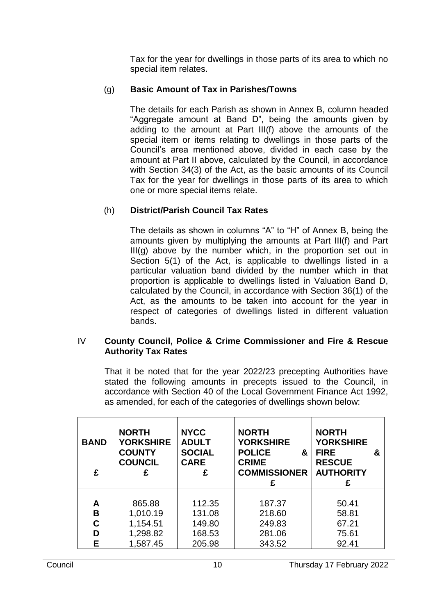Tax for the year for dwellings in those parts of its area to which no special item relates.

# (g) **Basic Amount of Tax in Parishes/Towns**

The details for each Parish as shown in Annex B, column headed "Aggregate amount at Band D", being the amounts given by adding to the amount at Part III(f) above the amounts of the special item or items relating to dwellings in those parts of the Council's area mentioned above, divided in each case by the amount at Part II above, calculated by the Council, in accordance with Section 34(3) of the Act, as the basic amounts of its Council Tax for the year for dwellings in those parts of its area to which one or more special items relate.

# (h) **District/Parish Council Tax Rates**

The details as shown in columns "A" to "H" of Annex B, being the amounts given by multiplying the amounts at Part III(f) and Part III(g) above by the number which, in the proportion set out in Section 5(1) of the Act, is applicable to dwellings listed in a particular valuation band divided by the number which in that proportion is applicable to dwellings listed in Valuation Band D, calculated by the Council, in accordance with Section 36(1) of the Act, as the amounts to be taken into account for the year in respect of categories of dwellings listed in different valuation bands.

#### IV **County Council, Police & Crime Commissioner and Fire & Rescue Authority Tax Rates**

That it be noted that for the year 2022/23 precepting Authorities have stated the following amounts in precepts issued to the Council, in accordance with Section 40 of the Local Government Finance Act 1992, as amended, for each of the categories of dwellings shown below:

| <b>BAND</b><br>£ | <b>NORTH</b><br><b>YORKSHIRE</b><br><b>COUNTY</b><br><b>COUNCIL</b><br>£ | <b>NYCC</b><br><b>ADULT</b><br><b>SOCIAL</b><br><b>CARE</b><br>£ | <b>NORTH</b><br><b>YORKSHIRE</b><br><b>POLICE</b><br>&<br><b>CRIME</b><br><b>COMMISSIONER</b> | <b>NORTH</b><br><b>YORKSHIRE</b><br><b>FIRE</b><br>&<br><b>RESCUE</b><br><b>AUTHORITY</b> |
|------------------|--------------------------------------------------------------------------|------------------------------------------------------------------|-----------------------------------------------------------------------------------------------|-------------------------------------------------------------------------------------------|
| Α                | 865.88                                                                   | 112.35                                                           | 187.37                                                                                        | 50.41                                                                                     |
| в                | 1,010.19                                                                 | 131.08                                                           | 218.60                                                                                        | 58.81                                                                                     |
| C                | 1,154.51                                                                 | 149.80                                                           | 249.83                                                                                        | 67.21                                                                                     |
| D                | 1,298.82                                                                 | 168.53                                                           | 281.06                                                                                        | 75.61                                                                                     |
| Е                | 1,587.45                                                                 | 205.98                                                           | 343.52                                                                                        | 92.41                                                                                     |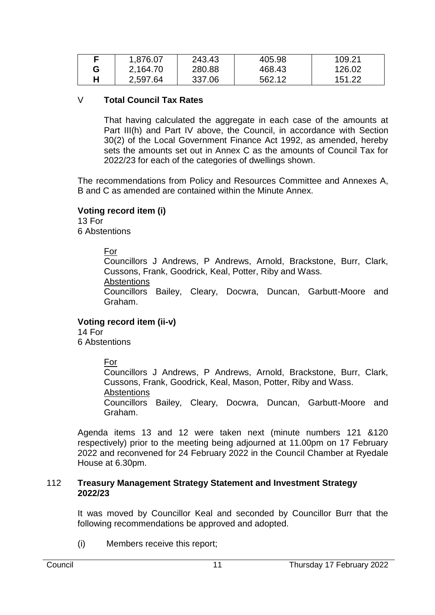|   | 1,876.07 | 243.43 | 405.98 | 109.21 |
|---|----------|--------|--------|--------|
| G | 2,164.70 | 280.88 | 468.43 | 126.02 |
|   | 2,597.64 | 337.06 | 562.12 | 151.22 |

# V **Total Council Tax Rates**

That having calculated the aggregate in each case of the amounts at Part III(h) and Part IV above, the Council, in accordance with Section 30(2) of the Local Government Finance Act 1992, as amended, hereby sets the amounts set out in Annex C as the amounts of Council Tax for 2022/23 for each of the categories of dwellings shown.

The recommendations from Policy and Resources Committee and Annexes A, B and C as amended are contained within the Minute Annex.

# **Voting record item (i)**

13 For 6 Abstentions

# For

Councillors J Andrews, P Andrews, Arnold, Brackstone, Burr, Clark, Cussons, Frank, Goodrick, Keal, Potter, Riby and Wass.

**Abstentions** 

Councillors Bailey, Cleary, Docwra, Duncan, Garbutt-Moore and Graham.

#### **Voting record item (ii-v)**

14 For 6 Abstentions

For

Councillors J Andrews, P Andrews, Arnold, Brackstone, Burr, Clark, Cussons, Frank, Goodrick, Keal, Mason, Potter, Riby and Wass. Abstentions Councillors Bailey, Cleary, Docwra, Duncan, Garbutt-Moore and Graham.

Agenda items 13 and 12 were taken next (minute numbers 121 &120 respectively) prior to the meeting being adjourned at 11.00pm on 17 February 2022 and reconvened for 24 February 2022 in the Council Chamber at Ryedale House at 6.30pm.

#### 112 **Treasury Management Strategy Statement and Investment Strategy 2022/23**

It was moved by Councillor Keal and seconded by Councillor Burr that the following recommendations be approved and adopted.

(i) Members receive this report;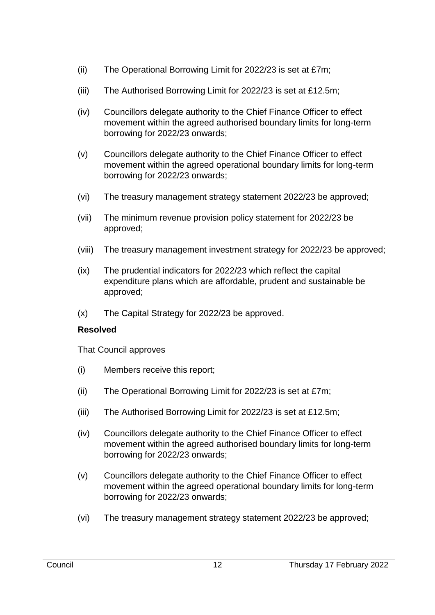- (ii) The Operational Borrowing Limit for 2022/23 is set at £7m;
- (iii) The Authorised Borrowing Limit for 2022/23 is set at £12.5m;
- (iv) Councillors delegate authority to the Chief Finance Officer to effect movement within the agreed authorised boundary limits for long-term borrowing for 2022/23 onwards;
- (v) Councillors delegate authority to the Chief Finance Officer to effect movement within the agreed operational boundary limits for long-term borrowing for 2022/23 onwards;
- (vi) The treasury management strategy statement 2022/23 be approved;
- (vii) The minimum revenue provision policy statement for 2022/23 be approved;
- (viii) The treasury management investment strategy for 2022/23 be approved;
- (ix) The prudential indicators for 2022/23 which reflect the capital expenditure plans which are affordable, prudent and sustainable be approved;
- (x) The Capital Strategy for 2022/23 be approved.

# **Resolved**

That Council approves

- (i) Members receive this report;
- (ii) The Operational Borrowing Limit for 2022/23 is set at £7m;
- (iii) The Authorised Borrowing Limit for 2022/23 is set at £12.5m;
- (iv) Councillors delegate authority to the Chief Finance Officer to effect movement within the agreed authorised boundary limits for long-term borrowing for 2022/23 onwards;
- (v) Councillors delegate authority to the Chief Finance Officer to effect movement within the agreed operational boundary limits for long-term borrowing for 2022/23 onwards;
- (vi) The treasury management strategy statement 2022/23 be approved;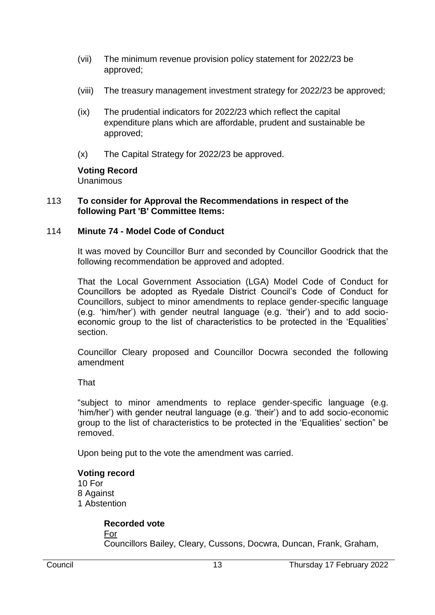- (vii) The minimum revenue provision policy statement for 2022/23 be approved;
- (viii) The treasury management investment strategy for 2022/23 be approved;
- (ix) The prudential indicators for 2022/23 which reflect the capital expenditure plans which are affordable, prudent and sustainable be approved;
- (x) The Capital Strategy for 2022/23 be approved.

#### **Voting Record**  Unanimous

#### 113 **To consider for Approval the Recommendations in respect of the following Part 'B' Committee Items:**

# 114 **Minute 74 - Model Code of Conduct**

It was moved by Councillor Burr and seconded by Councillor Goodrick that the following recommendation be approved and adopted.

That the Local Government Association (LGA) Model Code of Conduct for Councillors be adopted as Ryedale District Council's Code of Conduct for Councillors, subject to minor amendments to replace gender-specific language (e.g. 'him/her') with gender neutral language (e.g. 'their') and to add socioeconomic group to the list of characteristics to be protected in the 'Equalities' section.

Councillor Cleary proposed and Councillor Docwra seconded the following amendment

**That** 

"subject to minor amendments to replace gender-specific language (e.g. 'him/her') with gender neutral language (e.g. 'their') and to add socio-economic group to the list of characteristics to be protected in the 'Equalities' section" be removed.

Upon being put to the vote the amendment was carried.

#### **Voting record** 10 For 8 Against 1 Abstention

# **Recorded vote**

For

Councillors Bailey, Cleary, Cussons, Docwra, Duncan, Frank, Graham,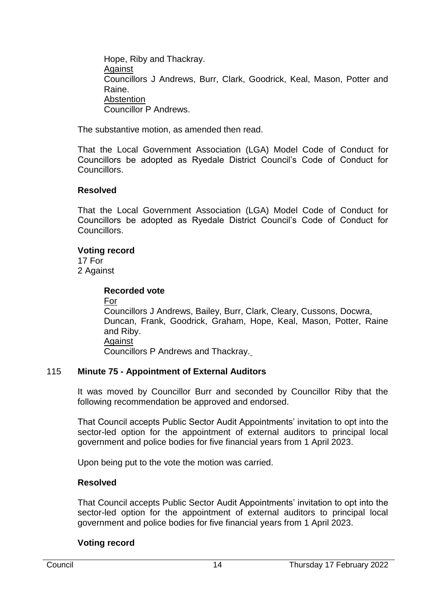Hope, Riby and Thackray. Against Councillors J Andrews, Burr, Clark, Goodrick, Keal, Mason, Potter and Raine. Abstention Councillor P Andrews.

The substantive motion, as amended then read.

That the Local Government Association (LGA) Model Code of Conduct for Councillors be adopted as Ryedale District Council's Code of Conduct for Councillors.

# **Resolved**

That the Local Government Association (LGA) Model Code of Conduct for Councillors be adopted as Ryedale District Council's Code of Conduct for Councillors.

# **Voting record**

17 For 2 Against

#### **Recorded vote**

For

Councillors J Andrews, Bailey, Burr, Clark, Cleary, Cussons, Docwra, Duncan, Frank, Goodrick, Graham, Hope, Keal, Mason, Potter, Raine and Riby. **Against** Councillors P Andrews and Thackray.

# 115 **Minute 75 - Appointment of External Auditors**

It was moved by Councillor Burr and seconded by Councillor Riby that the following recommendation be approved and endorsed.

That Council accepts Public Sector Audit Appointments' invitation to opt into the sector-led option for the appointment of external auditors to principal local government and police bodies for five financial years from 1 April 2023.

Upon being put to the vote the motion was carried.

# **Resolved**

That Council accepts Public Sector Audit Appointments' invitation to opt into the sector-led option for the appointment of external auditors to principal local government and police bodies for five financial years from 1 April 2023.

# **Voting record**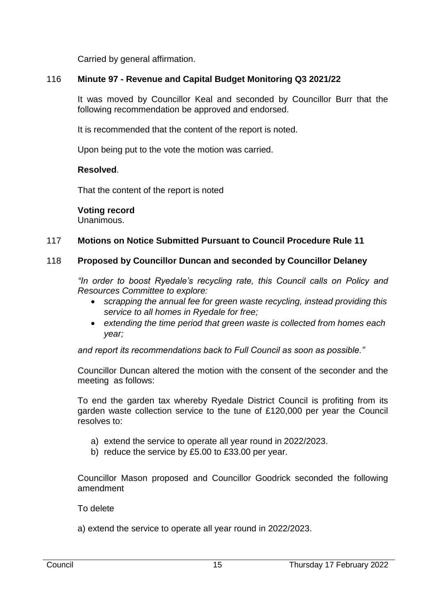Carried by general affirmation.

# 116 **Minute 97 - Revenue and Capital Budget Monitoring Q3 2021/22**

It was moved by Councillor Keal and seconded by Councillor Burr that the following recommendation be approved and endorsed.

It is recommended that the content of the report is noted.

Upon being put to the vote the motion was carried.

#### **Resolved**.

That the content of the report is noted

#### **Voting record**

Unanimous.

# 117 **Motions on Notice Submitted Pursuant to Council Procedure Rule 11**

# 118 **Proposed by Councillor Duncan and seconded by Councillor Delaney**

*"In order to boost Ryedale's recycling rate, this Council calls on Policy and Resources Committee to explore:*

- *scrapping the annual fee for green waste recycling, instead providing this service to all homes in Ryedale for free;*
- *extending the time period that green waste is collected from homes each year;*

*and report its recommendations back to Full Council as soon as possible."*

Councillor Duncan altered the motion with the consent of the seconder and the meeting as follows:

To end the garden tax whereby Ryedale District Council is profiting from its garden waste collection service to the tune of £120,000 per year the Council resolves to:

- a) extend the service to operate all year round in 2022/2023.
- b) reduce the service by £5.00 to £33.00 per year.

Councillor Mason proposed and Councillor Goodrick seconded the following amendment

To delete

a) extend the service to operate all year round in 2022/2023.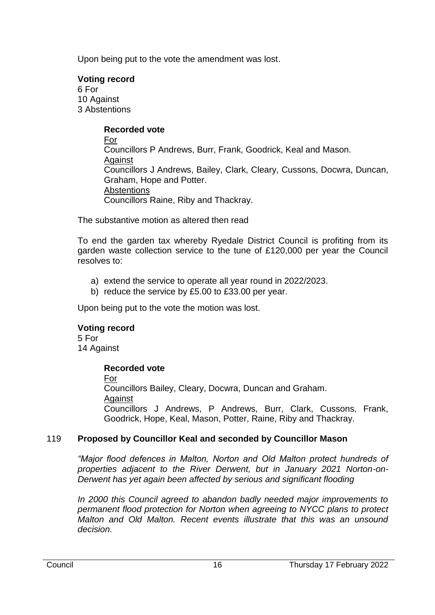Upon being put to the vote the amendment was lost.

# **Voting record**

6 For 10 Against 3 Abstentions

# **Recorded vote**

For Councillors P Andrews, Burr, Frank, Goodrick, Keal and Mason. Against Councillors J Andrews, Bailey, Clark, Cleary, Cussons, Docwra, Duncan, Graham, Hope and Potter. **Abstentions** Councillors Raine, Riby and Thackray.

The substantive motion as altered then read

To end the garden tax whereby Ryedale District Council is profiting from its garden waste collection service to the tune of £120,000 per year the Council resolves to:

- a) extend the service to operate all year round in 2022/2023.
- b) reduce the service by £5.00 to £33.00 per year.

Upon being put to the vote the motion was lost.

# **Voting record**

5 For 14 Against

# **Recorded vote**

For

Councillors Bailey, Cleary, Docwra, Duncan and Graham. Against Councillors J Andrews, P Andrews, Burr, Clark, Cussons, Frank, Goodrick, Hope, Keal, Mason, Potter, Raine, Riby and Thackray.

# 119 **Proposed by Councillor Keal and seconded by Councillor Mason**

*"Major flood defences in Malton, Norton and Old Malton protect hundreds of properties adjacent to the River Derwent, but in January 2021 Norton-on-Derwent has yet again been affected by serious and significant flooding*

*In 2000 this Council agreed to abandon badly needed major improvements to permanent flood protection for Norton when agreeing to NYCC plans to protect Malton and Old Malton. Recent events illustrate that this was an unsound decision.*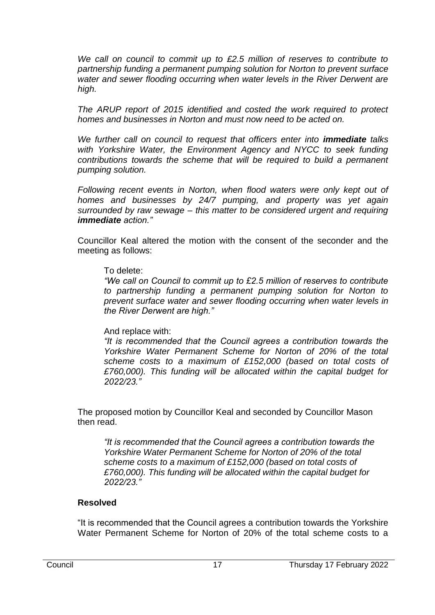*We call on council to commit up to £2.5 million of reserves to contribute to partnership funding a permanent pumping solution for Norton to prevent surface water and sewer flooding occurring when water levels in the River Derwent are high.*

*The ARUP report of 2015 identified and costed the work required to protect homes and businesses in Norton and must now need to be acted on.* 

*We further call on council to request that officers enter into immediate talks with Yorkshire Water, the Environment Agency and NYCC to seek funding contributions towards the scheme that will be required to build a permanent pumping solution.*

*Following recent events in Norton, when flood waters were only kept out of homes and businesses by 24/7 pumping, and property was yet again surrounded by raw sewage – this matter to be considered urgent and requiring immediate action."*

Councillor Keal altered the motion with the consent of the seconder and the meeting as follows:

#### To delete:

*"We call on Council to commit up to £2.5 million of reserves to contribute to partnership funding a permanent pumping solution for Norton to prevent surface water and sewer flooding occurring when water levels in the River Derwent are high."* 

# And replace with:

*"It is recommended that the Council agrees a contribution towards the Yorkshire Water Permanent Scheme for Norton of 20% of the total scheme costs to a maximum of £152,000 (based on total costs of £760,000). This funding will be allocated within the capital budget for 2022/23."*

The proposed motion by Councillor Keal and seconded by Councillor Mason then read.

*"It is recommended that the Council agrees a contribution towards the Yorkshire Water Permanent Scheme for Norton of 20% of the total scheme costs to a maximum of £152,000 (based on total costs of £760,000). This funding will be allocated within the capital budget for 2022/23."*

# **Resolved**

"It is recommended that the Council agrees a contribution towards the Yorkshire Water Permanent Scheme for Norton of 20% of the total scheme costs to a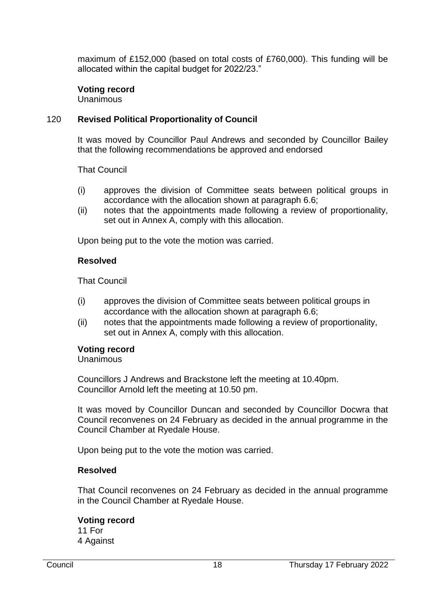maximum of £152,000 (based on total costs of £760,000). This funding will be allocated within the capital budget for 2022/23."

## **Voting record**

**Unanimous** 

## 120 **Revised Political Proportionality of Council**

It was moved by Councillor Paul Andrews and seconded by Councillor Bailey that the following recommendations be approved and endorsed

That Council

- (i) approves the division of Committee seats between political groups in accordance with the allocation shown at paragraph 6.6;
- (ii) notes that the appointments made following a review of proportionality, set out in Annex A, comply with this allocation.

Upon being put to the vote the motion was carried.

#### **Resolved**

That Council

- (i) approves the division of Committee seats between political groups in accordance with the allocation shown at paragraph 6.6;
- (ii) notes that the appointments made following a review of proportionality, set out in Annex A, comply with this allocation.

#### **Voting record**

#### **Unanimous**

Councillors J Andrews and Brackstone left the meeting at 10.40pm. Councillor Arnold left the meeting at 10.50 pm.

It was moved by Councillor Duncan and seconded by Councillor Docwra that Council reconvenes on 24 February as decided in the annual programme in the Council Chamber at Ryedale House.

Upon being put to the vote the motion was carried.

#### **Resolved**

That Council reconvenes on 24 February as decided in the annual programme in the Council Chamber at Ryedale House.

#### **Voting record**

11 For 4 Against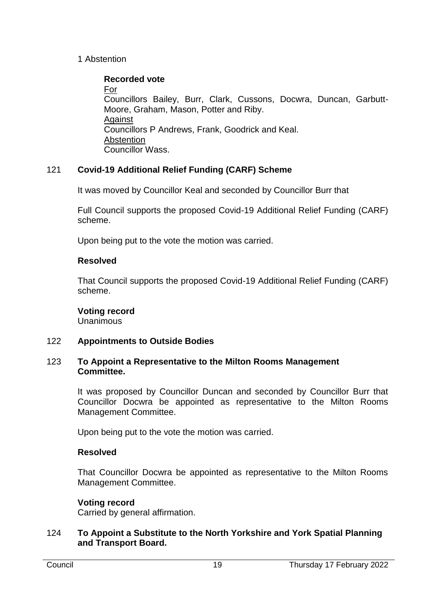# 1 Abstention

# **Recorded vote**

For Councillors Bailey, Burr, Clark, Cussons, Docwra, Duncan, Garbutt-Moore, Graham, Mason, Potter and Riby. Against Councillors P Andrews, Frank, Goodrick and Keal. Abstention Councillor Wass.

# 121 **Covid-19 Additional Relief Funding (CARF) Scheme**

It was moved by Councillor Keal and seconded by Councillor Burr that

Full Council supports the proposed Covid-19 Additional Relief Funding (CARF) scheme.

Upon being put to the vote the motion was carried.

# **Resolved**

That Council supports the proposed Covid-19 Additional Relief Funding (CARF) scheme.

# **Voting record**

Unanimous

# 122 **Appointments to Outside Bodies**

#### 123 **To Appoint a Representative to the Milton Rooms Management Committee.**

It was proposed by Councillor Duncan and seconded by Councillor Burr that Councillor Docwra be appointed as representative to the Milton Rooms Management Committee.

Upon being put to the vote the motion was carried.

# **Resolved**

That Councillor Docwra be appointed as representative to the Milton Rooms Management Committee.

# **Voting record**

Carried by general affirmation.

# 124 **To Appoint a Substitute to the North Yorkshire and York Spatial Planning and Transport Board.**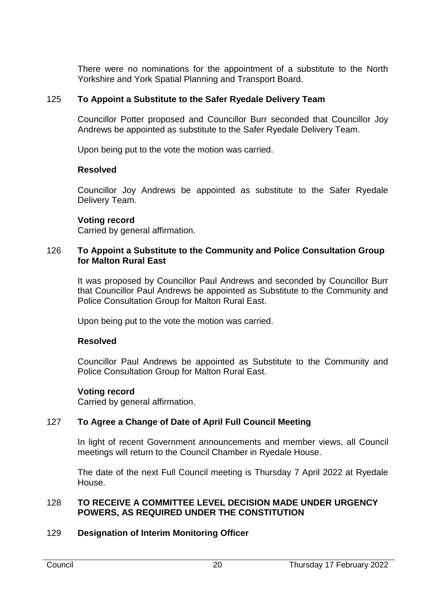There were no nominations for the appointment of a substitute to the North Yorkshire and York Spatial Planning and Transport Board.

# 125 **To Appoint a Substitute to the Safer Ryedale Delivery Team**

Councillor Potter proposed and Councillor Burr seconded that Councillor Joy Andrews be appointed as substitute to the Safer Ryedale Delivery Team.

Upon being put to the vote the motion was carried.

#### **Resolved**

Councillor Joy Andrews be appointed as substitute to the Safer Ryedale Delivery Team.

#### **Voting record**

Carried by general affirmation.

#### 126 **To Appoint a Substitute to the Community and Police Consultation Group for Malton Rural East**

It was proposed by Councillor Paul Andrews and seconded by Councillor Burr that Councillor Paul Andrews be appointed as Substitute to the Community and Police Consultation Group for Malton Rural East.

Upon being put to the vote the motion was carried.

# **Resolved**

Councillor Paul Andrews be appointed as Substitute to the Community and Police Consultation Group for Malton Rural East.

# **Voting record**

Carried by general affirmation.

# 127 **To Agree a Change of Date of April Full Council Meeting**

In light of recent Government announcements and member views, all Council meetings will return to the Council Chamber in Ryedale House.

The date of the next Full Council meeting is Thursday 7 April 2022 at Ryedale House.

#### 128 **TO RECEIVE A COMMITTEE LEVEL DECISION MADE UNDER URGENCY POWERS, AS REQUIRED UNDER THE CONSTITUTION**

# 129 **Designation of Interim Monitoring Officer**